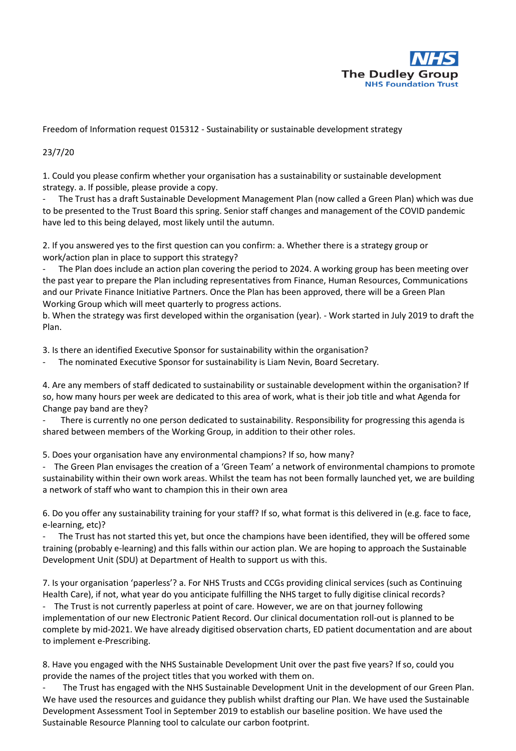

Freedom of Information request 015312 - Sustainability or sustainable development strategy

## 23/7/20

1. Could you please confirm whether your organisation has a sustainability or sustainable development strategy. a. If possible, please provide a copy.

- The Trust has a draft Sustainable Development Management Plan (now called a Green Plan) which was due to be presented to the Trust Board this spring. Senior staff changes and management of the COVID pandemic have led to this being delayed, most likely until the autumn.

2. If you answered yes to the first question can you confirm: a. Whether there is a strategy group or work/action plan in place to support this strategy?

The Plan does include an action plan covering the period to 2024. A working group has been meeting over the past year to prepare the Plan including representatives from Finance, Human Resources, Communications and our Private Finance Initiative Partners. Once the Plan has been approved, there will be a Green Plan Working Group which will meet quarterly to progress actions.

b. When the strategy was first developed within the organisation (year). - Work started in July 2019 to draft the Plan.

3. Is there an identified Executive Sponsor for sustainability within the organisation?

The nominated Executive Sponsor for sustainability is Liam Nevin, Board Secretary.

4. Are any members of staff dedicated to sustainability or sustainable development within the organisation? If so, how many hours per week are dedicated to this area of work, what is their job title and what Agenda for Change pay band are they?

There is currently no one person dedicated to sustainability. Responsibility for progressing this agenda is shared between members of the Working Group, in addition to their other roles.

5. Does your organisation have any environmental champions? If so, how many?

- The Green Plan envisages the creation of a 'Green Team' a network of environmental champions to promote sustainability within their own work areas. Whilst the team has not been formally launched yet, we are building a network of staff who want to champion this in their own area

6. Do you offer any sustainability training for your staff? If so, what format is this delivered in (e.g. face to face, e-learning, etc)?

The Trust has not started this yet, but once the champions have been identified, they will be offered some training (probably e-learning) and this falls within our action plan. We are hoping to approach the Sustainable Development Unit (SDU) at Department of Health to support us with this.

7. Is your organisation 'paperless'? a. For NHS Trusts and CCGs providing clinical services (such as Continuing Health Care), if not, what year do you anticipate fulfilling the NHS target to fully digitise clinical records?

- The Trust is not currently paperless at point of care. However, we are on that journey following implementation of our new Electronic Patient Record. Our clinical documentation roll-out is planned to be complete by mid-2021. We have already digitised observation charts, ED patient documentation and are about to implement e-Prescribing.

8. Have you engaged with the NHS Sustainable Development Unit over the past five years? If so, could you provide the names of the project titles that you worked with them on.

The Trust has engaged with the NHS Sustainable Development Unit in the development of our Green Plan. We have used the resources and guidance they publish whilst drafting our Plan. We have used the Sustainable Development Assessment Tool in September 2019 to establish our baseline position. We have used the Sustainable Resource Planning tool to calculate our carbon footprint.